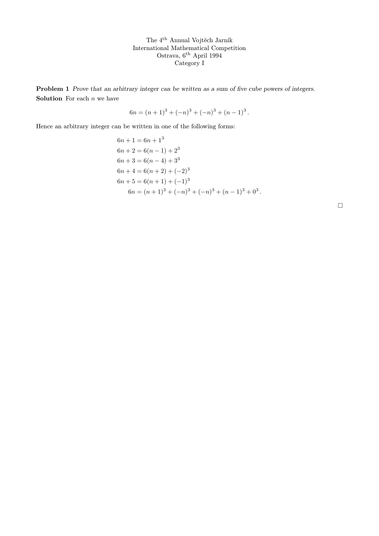The 4th Annual Vojtěch Jarník International Mathematical Competition Ostrava, 6th April 1994 Category I

Problem 1 Prove that an arbitrary integer can be written as a sum of five cube powers of integers. **Solution** For each  $n$  we have

$$
6n = (n+1)^3 + (-n)^3 + (-n)^3 + (n-1)^3.
$$

Hence an arbitrary integer can be written in one of the following forms:

$$
6n + 1 = 6n + 13
$$
  
\n
$$
6n + 2 = 6(n - 1) + 23
$$
  
\n
$$
6n + 3 = 6(n - 4) + 33
$$
  
\n
$$
6n + 4 = 6(n + 2) + (-2)3
$$
  
\n
$$
6n + 5 = 6(n + 1) + (-1)3
$$
  
\n
$$
6n = (n + 1)3 + (-n)3 + (-n)3 + (n - 1)3 + 03
$$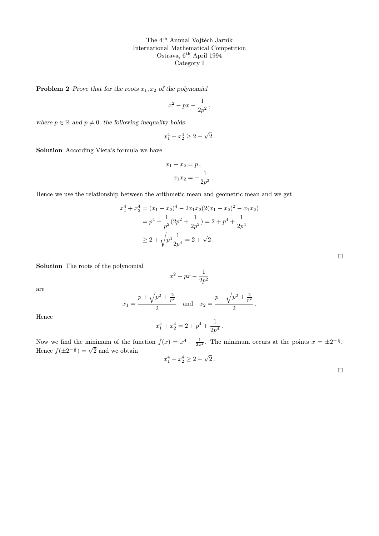The 4th Annual Vojtěch Jarník International Mathematical Competition Ostrava, 6th April 1994 Category I

**Problem 2** Prove that for the roots  $x_1, x_2$  of the polynomial

$$
x^2-px-\frac{1}{2p^2}\,,
$$

where  $p \in \mathbb{R}$  and  $p \neq 0$ , the following inequality holds:

$$
x_1^4 + x_2^4 \ge 2 + \sqrt{2} \, .
$$

Solution According Vieta's formula we have

$$
x_1 + x_2 = p,
$$
  

$$
x_1 x_2 = -\frac{1}{2p^2}
$$

.

Hence we use the relationship between the arithmetic mean and geometric mean and we get

$$
x_1^4 + x_2^4 = (x_1 + x_2)^4 - 2x_1x_2(2(x_1 + x_2)^2 - x_1x_2)
$$
  
=  $p^4 + \frac{1}{p^2}(2p^2 + \frac{1}{2p^2}) = 2 + p^4 + \frac{1}{2p^4}$   
 $\ge 2 + \sqrt{p^4 \frac{1}{2p^4}} = 2 + \sqrt{2}$ .

Solution The roots of the polynomial

$$
x^2 - px - \frac{1}{2p^2}
$$

are

$$
x_1 = \frac{p + \sqrt{p^2 + \frac{2}{p^2}}}{2}
$$
 and  $x_2 = \frac{p - \sqrt{p^2 + \frac{2}{p^2}}}{2}$ .

Hence

$$
x_1^4 + x_2^4 = 2 + p^4 + \frac{1}{2p^4}.
$$

Now we find the minimum of the function  $f(x) = x^4 + \frac{1}{2x^4}$ . The minimum occurs at the points  $x = \pm 2^{-\frac{1}{8}}$ . Hence  $f(\pm 2^{-\frac{1}{8}}) = \sqrt{2}$  and we obtain

$$
x_1^4 + x_2^4 \ge 2 + \sqrt{2} \, .
$$

 $\Box$ 

 $\Box$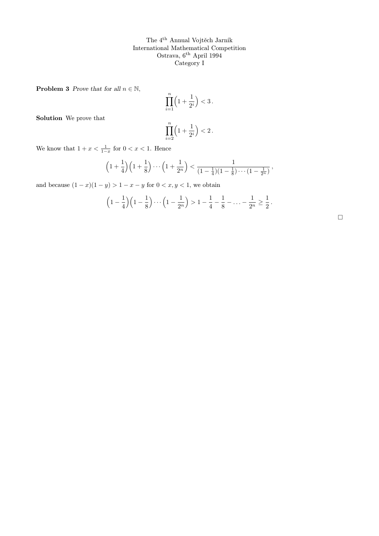The 4th Annual Vojtěch Jarník International Mathematical Competition Ostrava, 6th April 1994 Category I

**Problem 3** Prove that for all  $n \in \mathbb{N}$ ,

$$
\prod_{i=1}^n \left(1 + \frac{1}{2^i}\right) < 3.
$$
\n
$$
\prod_{i=1}^n \left(1 + \frac{1}{2^i}\right) < 2.
$$

Solution We prove that

$$
\prod_{i=2}^{\mathbf{I}} \binom{1+i}{2}
$$

We know that  $1 + x < \frac{1}{1-x}$  for  $0 < x < 1$ . Hence

$$
\left(1+\frac{1}{4}\right)\left(1+\frac{1}{8}\right)\cdots\left(1+\frac{1}{2^n}\right) < \frac{1}{\left(1-\frac{1}{4}\right)\left(1-\frac{1}{8}\right)\cdots\left(1-\frac{1}{2^n}\right)},
$$

and because  $(1 - x)(1 - y) > 1 - x - y$  for  $0 < x, y < 1$ , we obtain

$$
\left(1-\frac{1}{4}\right)\left(1-\frac{1}{8}\right)\cdots\left(1-\frac{1}{2^n}\right) > 1-\frac{1}{4}-\frac{1}{8}-\ldots-\frac{1}{2^n} \geq \frac{1}{2}.
$$

 $\Box$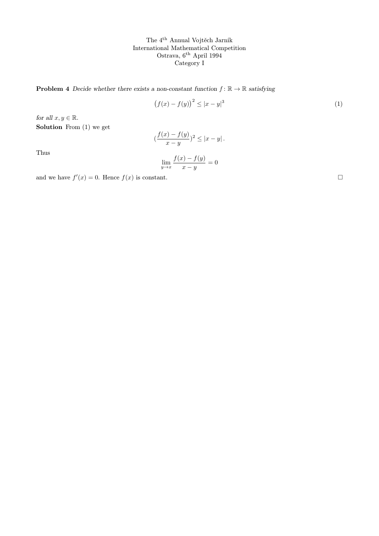The  $4^{\rm th}$  Annual Vojtěch Jarník International Mathematical Competition Ostrava, 6th April 1994 Category I

**Problem 4** Decide whether there exists a non-constant function  $f: \mathbb{R} \to \mathbb{R}$  satisfying

$$
(f(x) - f(y))^2 \le |x - y|^3 \tag{1}
$$

for all  $x, y \in \mathbb{R}$ . Solution From  $(1)$  we get

## $\frac{f(x)-f(y)}{f(x)}$  $\frac{y-y(y)}{x-y}$ )<sup>2</sup>  $\leq |x-y|$ .

Thus

$$
\lim_{y \to x} \frac{f(x) - f(y)}{x - y} = 0
$$

and we have  $f'(x) = 0$ . Hence  $f(x)$  is constant.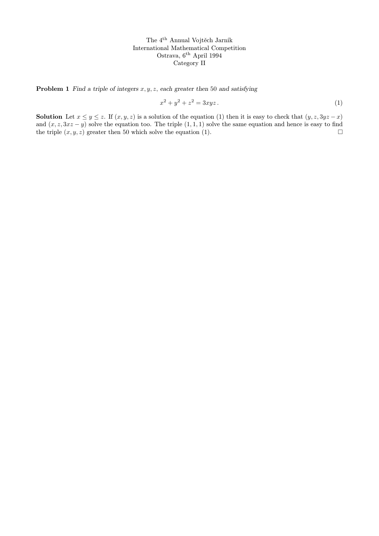The 4th Annual Vojtěch Jarník International Mathematical Competition Ostrava, 6<sup>th</sup> April 1994 Category II

**Problem 1** Find a triple of integers  $x, y, z$ , each greater then 50 and satisfying

$$
x^2 + y^2 + z^2 = 3xyz.
$$
 (1)

**Solution** Let  $x \leq y \leq z$ . If  $(x, y, z)$  is a solution of the equation (1) then it is easy to check that  $(y, z, 3yz - x)$ and  $(x, z, 3xz - y)$  solve the equation too. The triple  $(1, 1, 1)$  solve the same equation and hence is easy to find the triple  $(x, y, z)$  greater then 50 which solve the equation (1).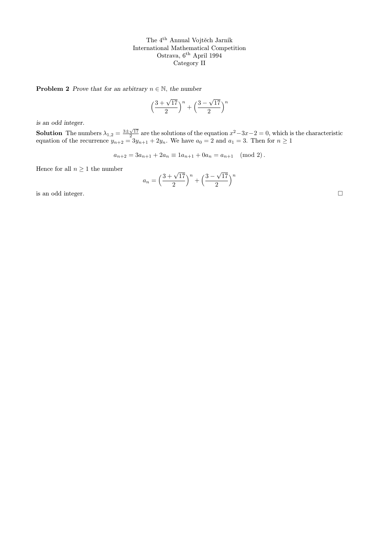The 4th Annual Vojtěch Jarník International Mathematical Competition Ostrava, 6th April 1994 Category II

**Problem 2** Prove that for an arbitrary  $n \in \mathbb{N}$ , the number

$$
\left(\frac{3+\sqrt{17}}{2}\right)^n + \left(\frac{3-\sqrt{17}}{2}\right)^n
$$

is an odd integer.

**Solution** The numbers  $\lambda_{1,2} = \frac{3 \pm \sqrt{17}}{2}$  are the solutions of the equation  $x^2 - 3x - 2 = 0$ , which is the characteristic equation of the recurrence  $y_{n+2} = 3y_{n+1} + 2y_n$ . We have  $a_0 = 2$  and  $a_1 = 3$ . Then for  $n \ge 1$ 

$$
a_{n+2} = 3a_{n+1} + 2a_n \equiv 1a_{n+1} + 0a_n = a_{n+1} \pmod{2}.
$$

Hence for all  $n \geq 1$  the number

$$
a_n = \left(\frac{3 + \sqrt{17}}{2}\right)^n + \left(\frac{3 - \sqrt{17}}{2}\right)^n
$$

is an odd integer.  $\hfill \Box$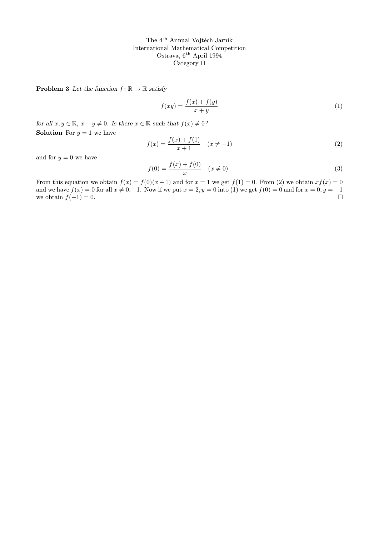The 4th Annual Vojtěch Jarník International Mathematical Competition Ostrava, 6th April 1994 Category II

**Problem 3** Let the function  $f : \mathbb{R} \to \mathbb{R}$  satisfy

$$
f(xy) = \frac{f(x) + f(y)}{x + y} \tag{1}
$$

for all  $x, y \in \mathbb{R}$ ,  $x + y \neq 0$ . Is there  $x \in \mathbb{R}$  such that  $f(x) \neq 0$ ? **Solution** For  $y = 1$  we have

$$
f(x) = \frac{f(x) + f(1)}{x + 1} \quad (x \neq -1)
$$
 (2)

and for  $y = 0$  we have

$$
f(0) = \frac{f(x) + f(0)}{x} \quad (x \neq 0).
$$
 (3)

From this equation we obtain  $f(x) = f(0)(x - 1)$  and for  $x = 1$  we get  $f(1) = 0$ . From (2) we obtain  $xf(x) = 0$ and we have  $f(x) = 0$  for all  $x \neq 0, -1$ . Now if we put  $x = 2, y = 0$  into (1) we get  $f(0) = 0$  and for  $x = 0, y = -1$ we obtain  $f(-1) = 0$ .